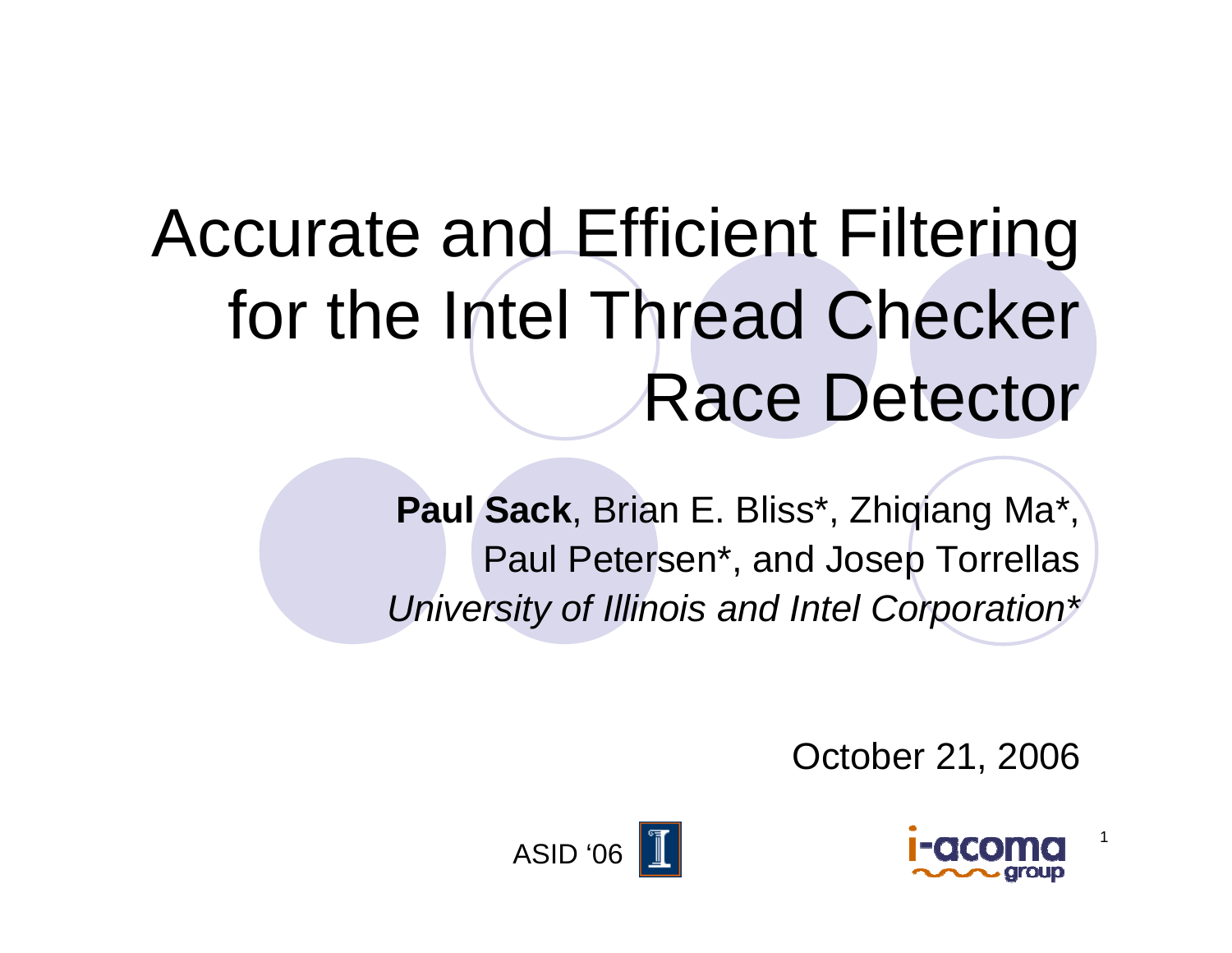# Accurate and Efficient Filtering for the Intel Thread Checker Race Detector

**Paul Sack**, Brian E. Bliss\*, Zhiqiang Ma\*, Paul Petersen\*, and Josep Torrellas *University of Illinois and Intel Corporation\**

October 21, 2006



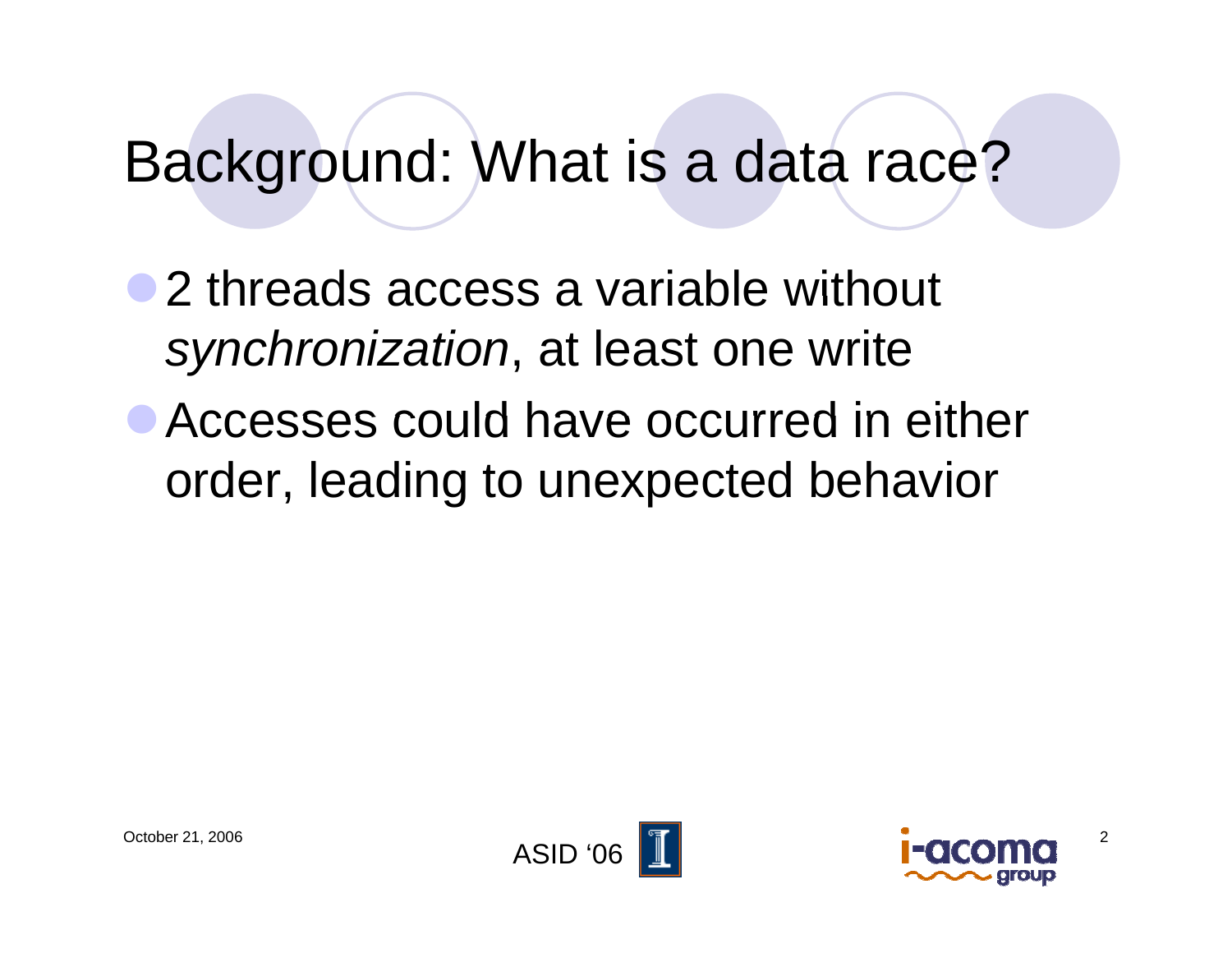#### Background: What is <sup>a</sup> data race?

• 2 threads access a variable without *synchronization*, at least one write

• Accesses could have occurred in either order, leading to unexpected behavior



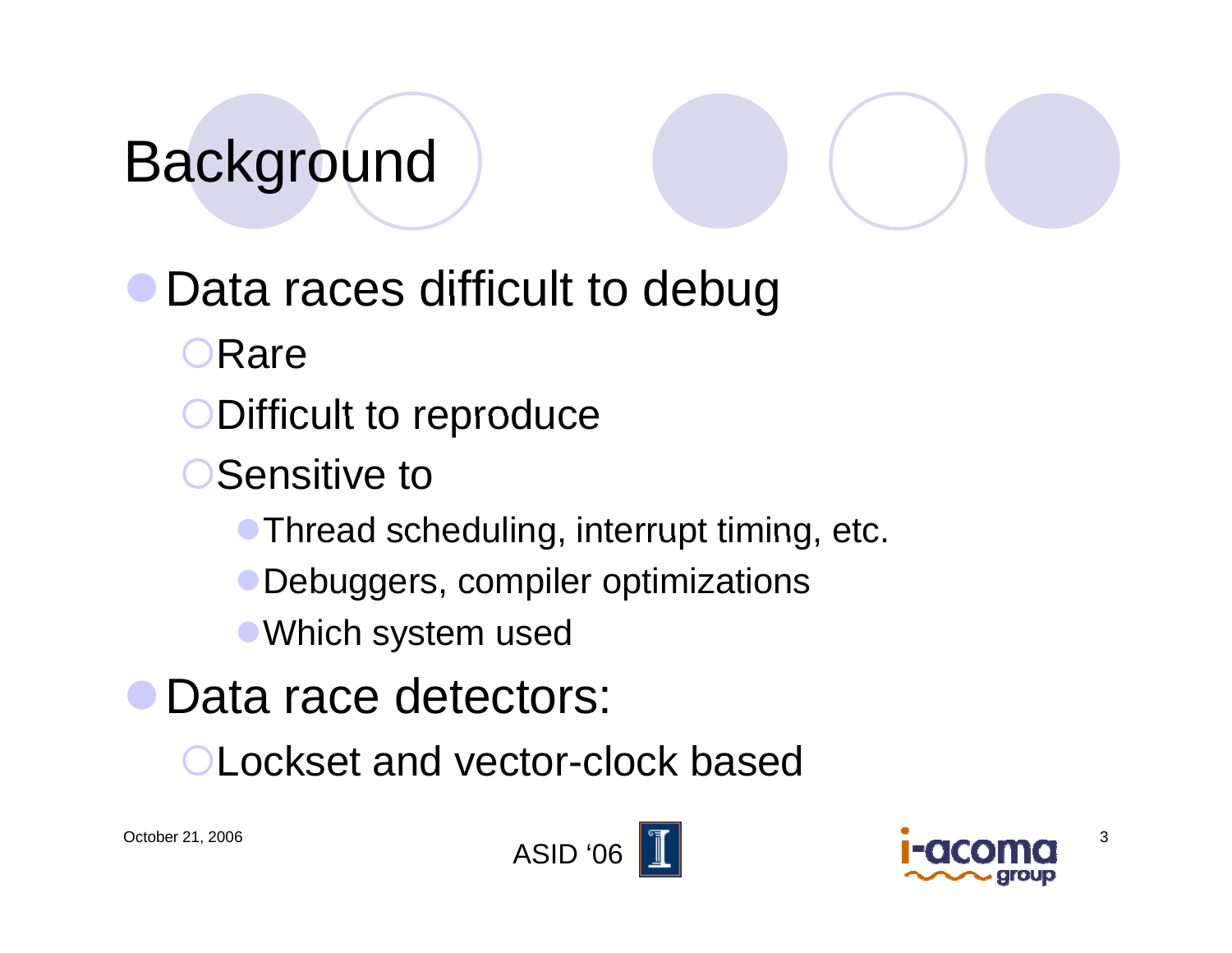## Background

#### Data races difficult to debug

- Rare
- Difficult to reproduce
- **Sensitive to** 
	- $\bullet$  Thread scheduling, interrupt timing, etc.
	- Debuggers, compiler optimizations
	- Which system used
- Data race detectors:
	- **OLockset and vector-clock based**



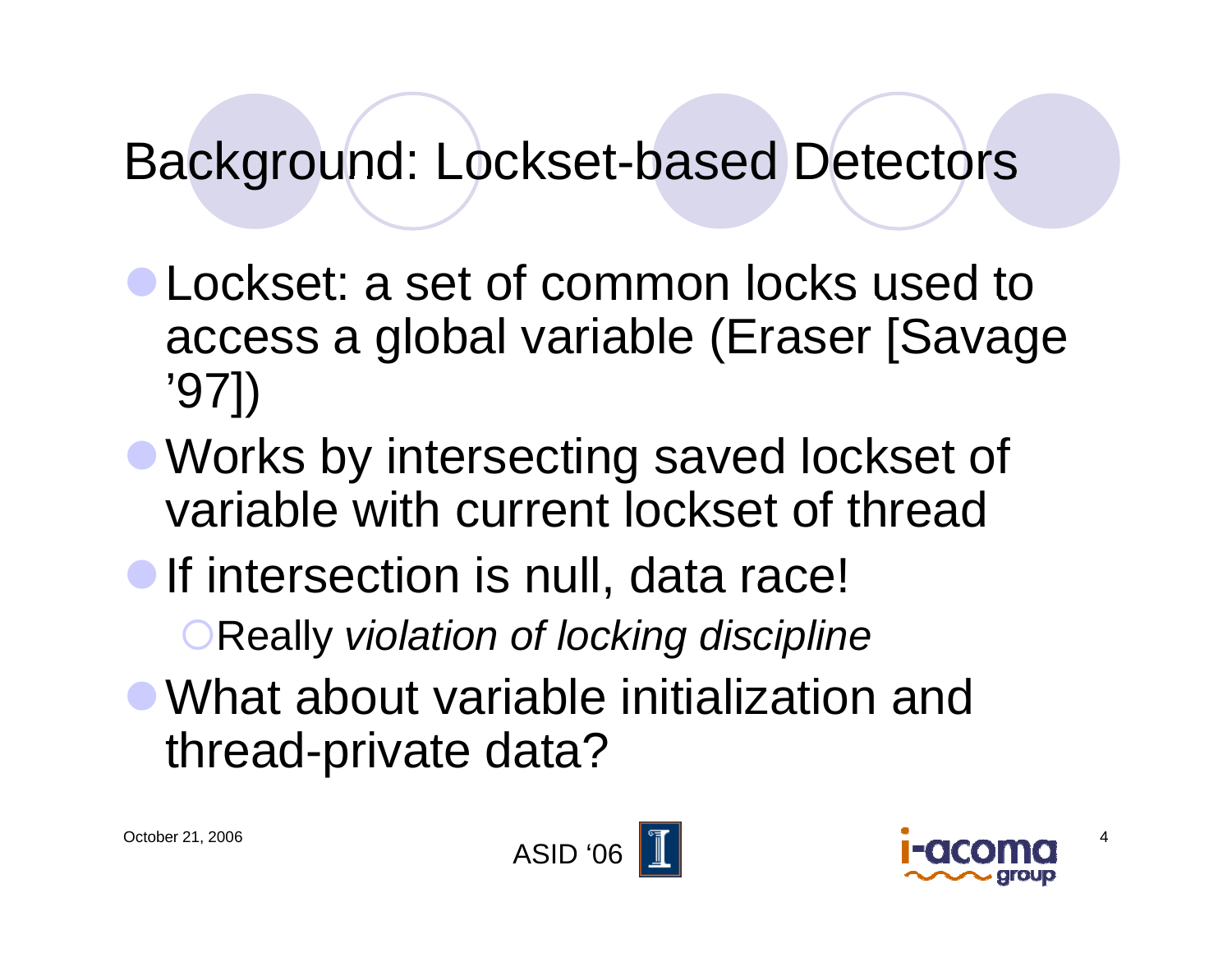#### Background: Lockset-based Detectors

- **Lockset: a set of common locks used to** access a global variable (Eraser [Savage '97])
- Works by intersecting saved lockset of variable with current lockset of thread
- **If intersection is null, data race!** 
	- **OReally violation of locking discipline**
- What about variable initialization and thread-private data?



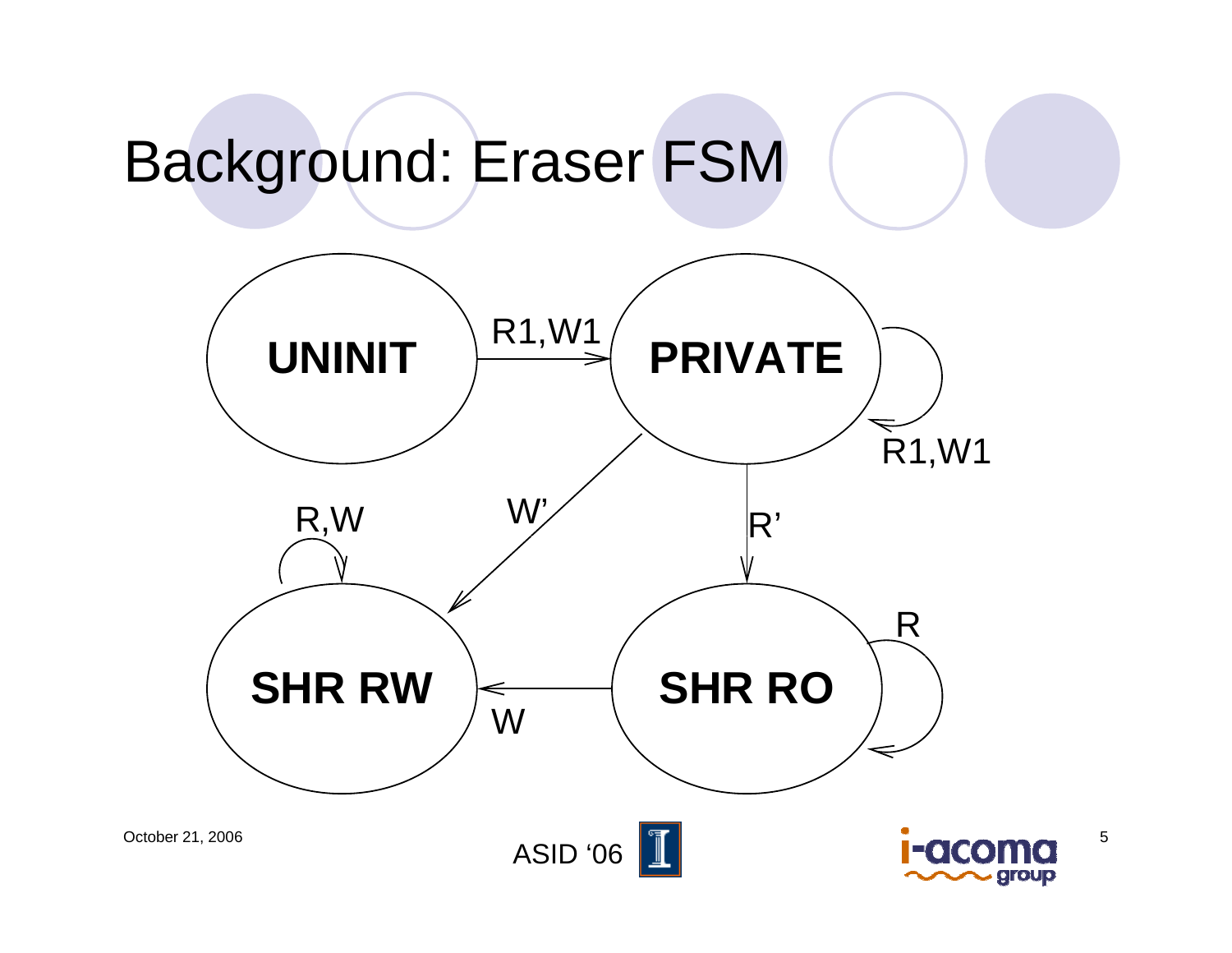#### Background: Eraser FSM

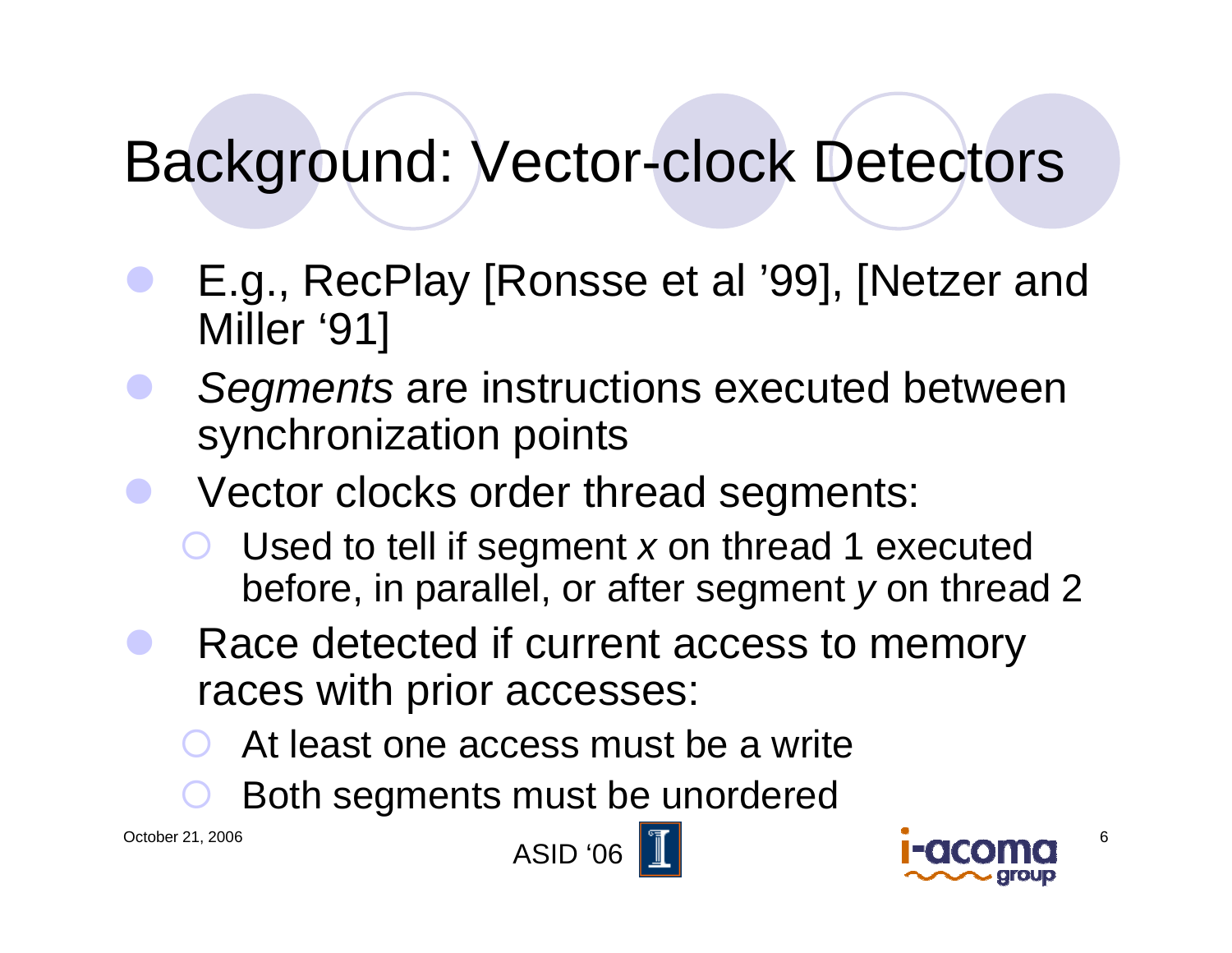#### Background: Vector-clock Detectors

- $\bullet$ E.g., RecPlay [Ronsse et al '99], [Netzer and Miller '91]
- $\bullet$  *Segments* are instructions executed between synchronization points
- $\bullet$  Vector clocks order thread segments:
	- ${\color{black} \bigcirc}$ **O** Used to tell if segment x on thread 1 executed before, in parallel, or after segment *y* on thread 2
- $\bullet$  Race detected if current access to memory races with prior accesses:
	- ${\color{black} \bigcirc}$ At least one access must be a write
	- ${\color{black} \bigcirc}$ Both segments must be unordered





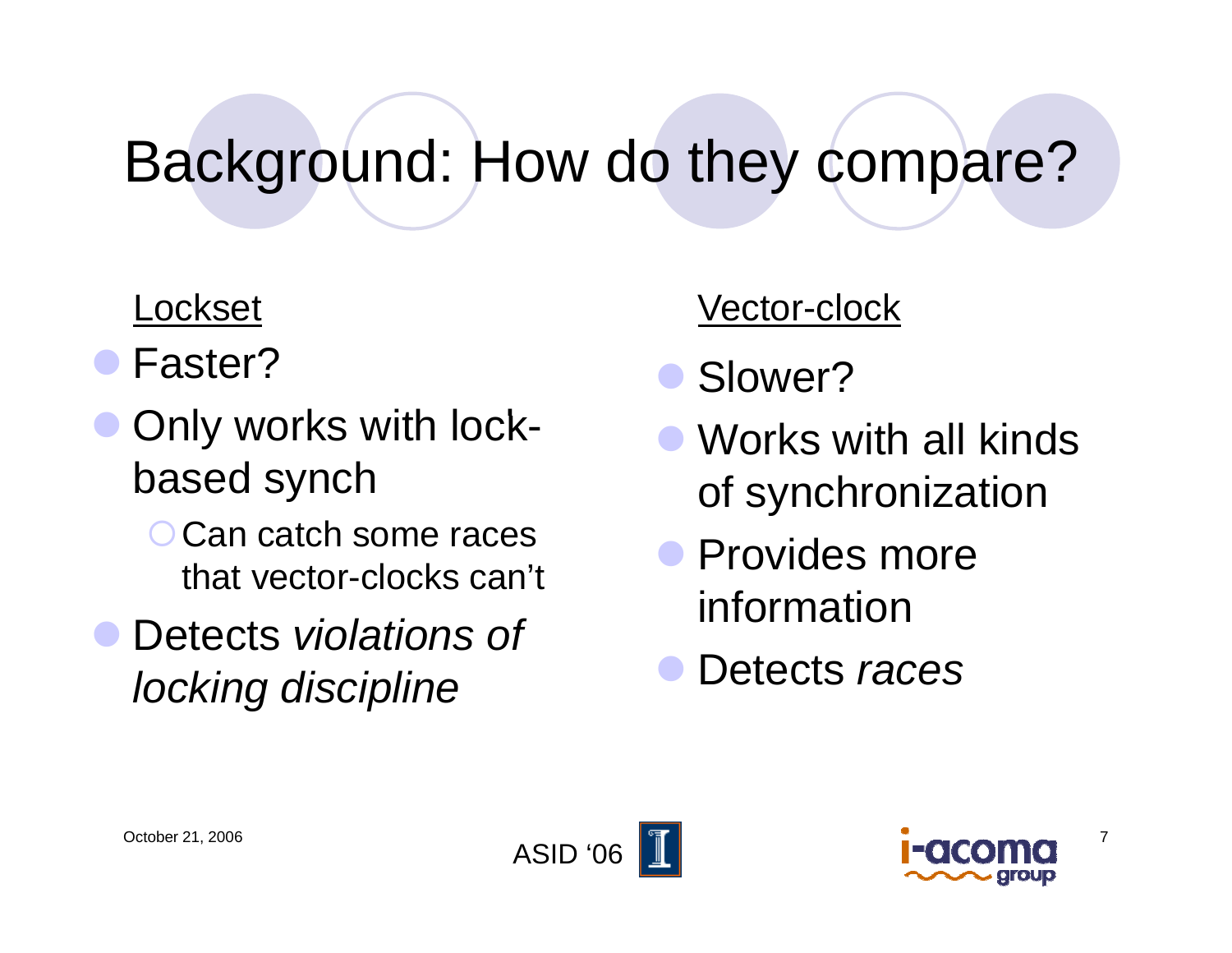#### Background: How do they compare?

#### Lockset

- $\bullet$ Faster?
- $\bullet$ **• Only works with lock**based synch
	- O Can catch some races that vector-clocks can't
- $\bullet$  Detects *violations of locking discipline*

#### t vector-clock

- $\bullet$ Slower?
- $\bullet$  Works with all kinds of synchronization
- Provides more information
- Detects *races*  $\bullet$





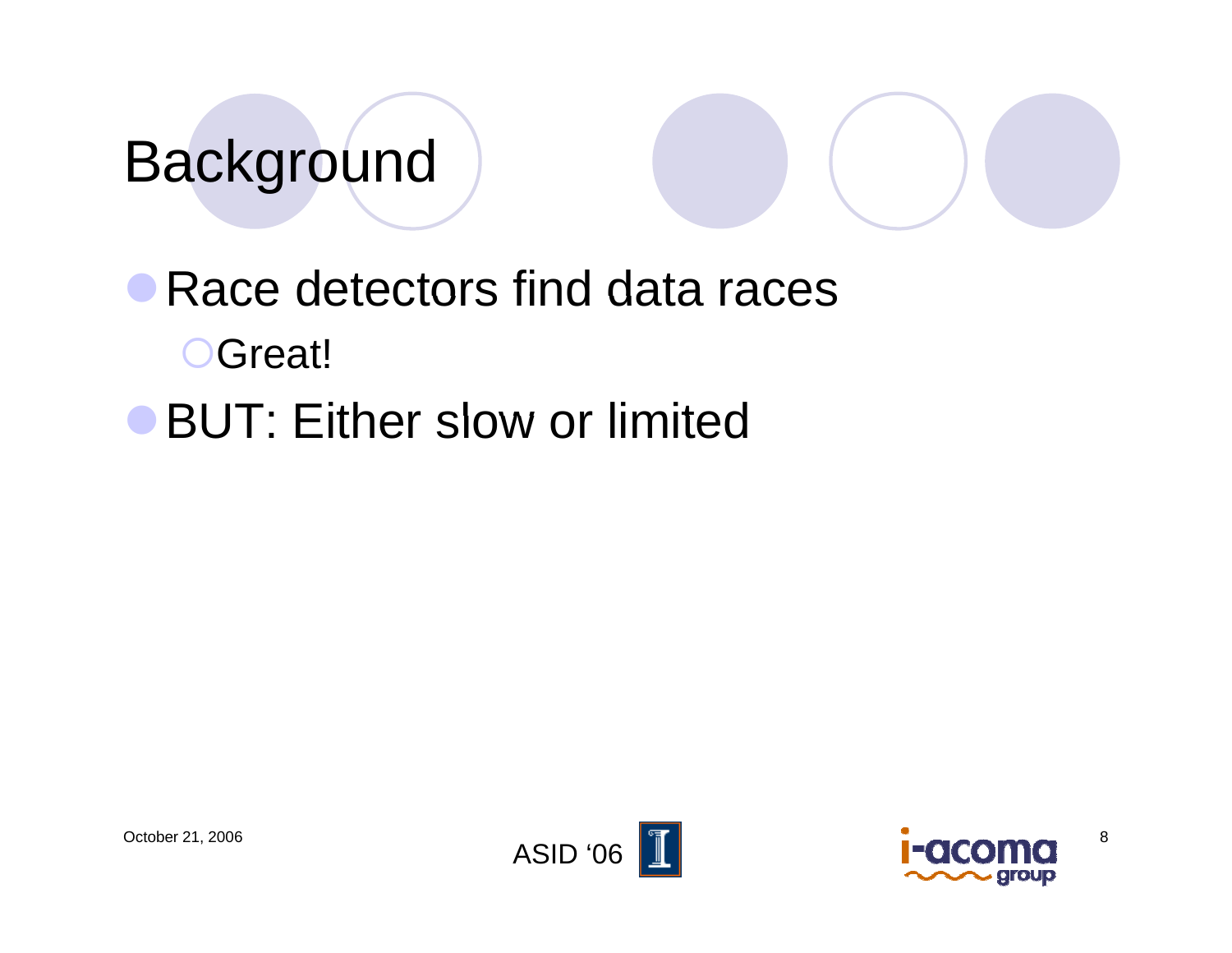### Background

### Race detectors find data races OGreat!

**BUT: Either slow or limited** 





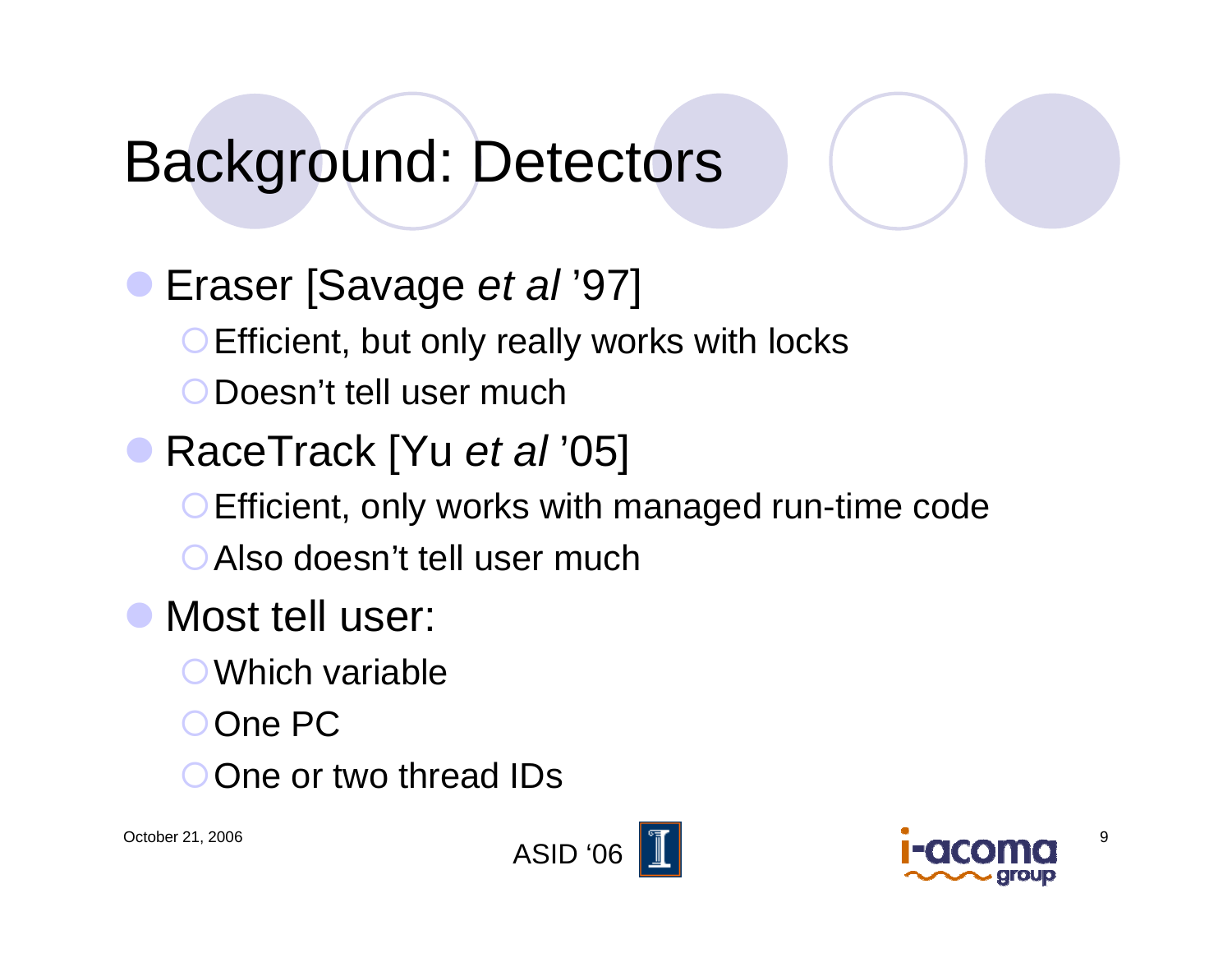#### Background: Detectors

 $\bullet$ Eraser [Savage *et al* '97] Efficient, but only really works with locks {Doesn't tell user much**• RaceTrack [Yu** *et al* **'05]** Efficient, only works with managed run-time code ○ Also doesn't tell user much  $\bullet$  Most tell user:  $\bigcirc$  Which variable

- 
- OOne PC
- O One or two thread IDs



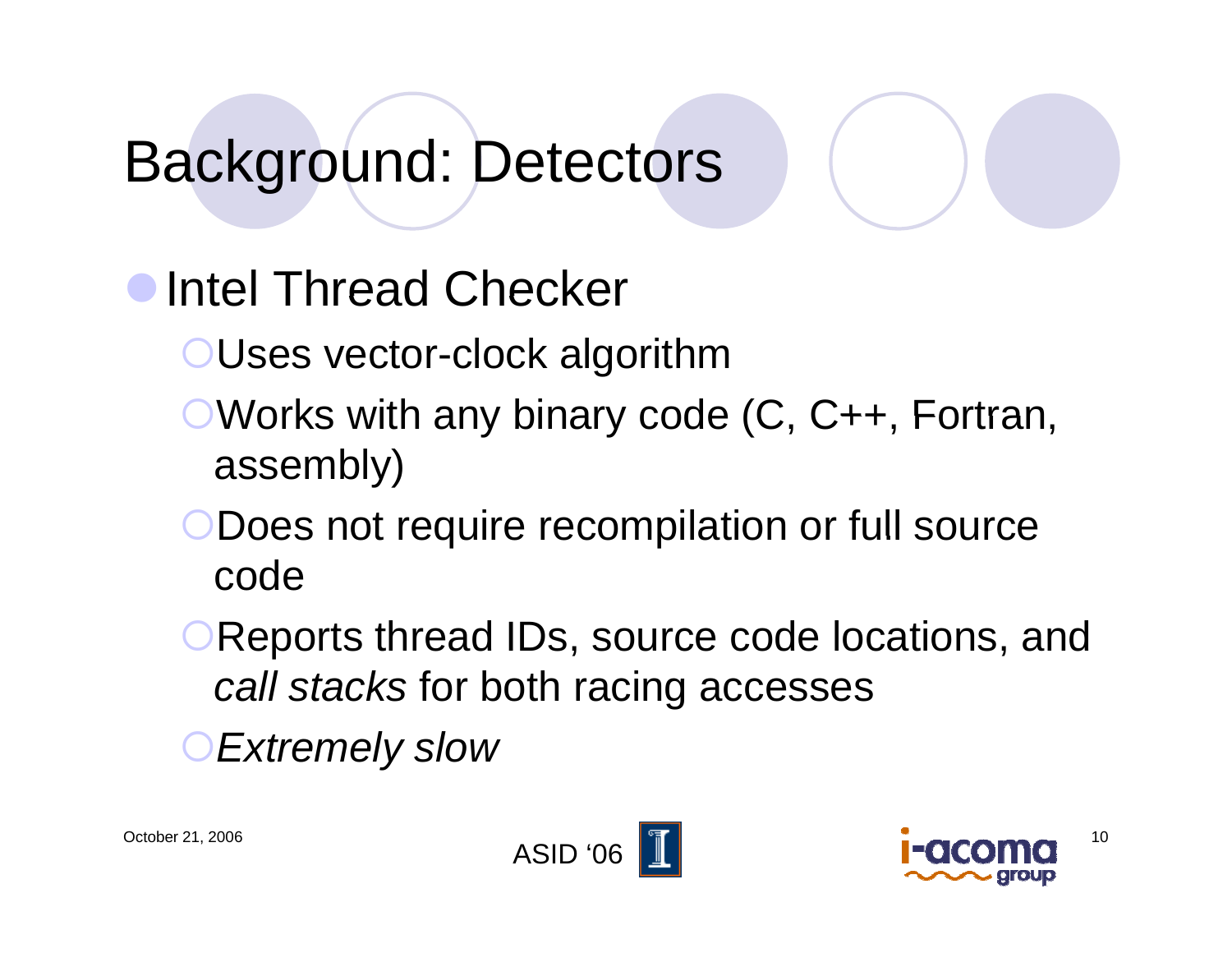#### Background: Detectors

#### Intel Thread Checker

- {Uses vector-clock algorithm
- $\bullet$  Works with any binary code  $(C, C_{++},$  Fortran, assembly)
- Does not require recompilation or full source code
- **OReports thread IDs, source code locations, and** *call stacks* for both racing accesses

{*Extremely slow*



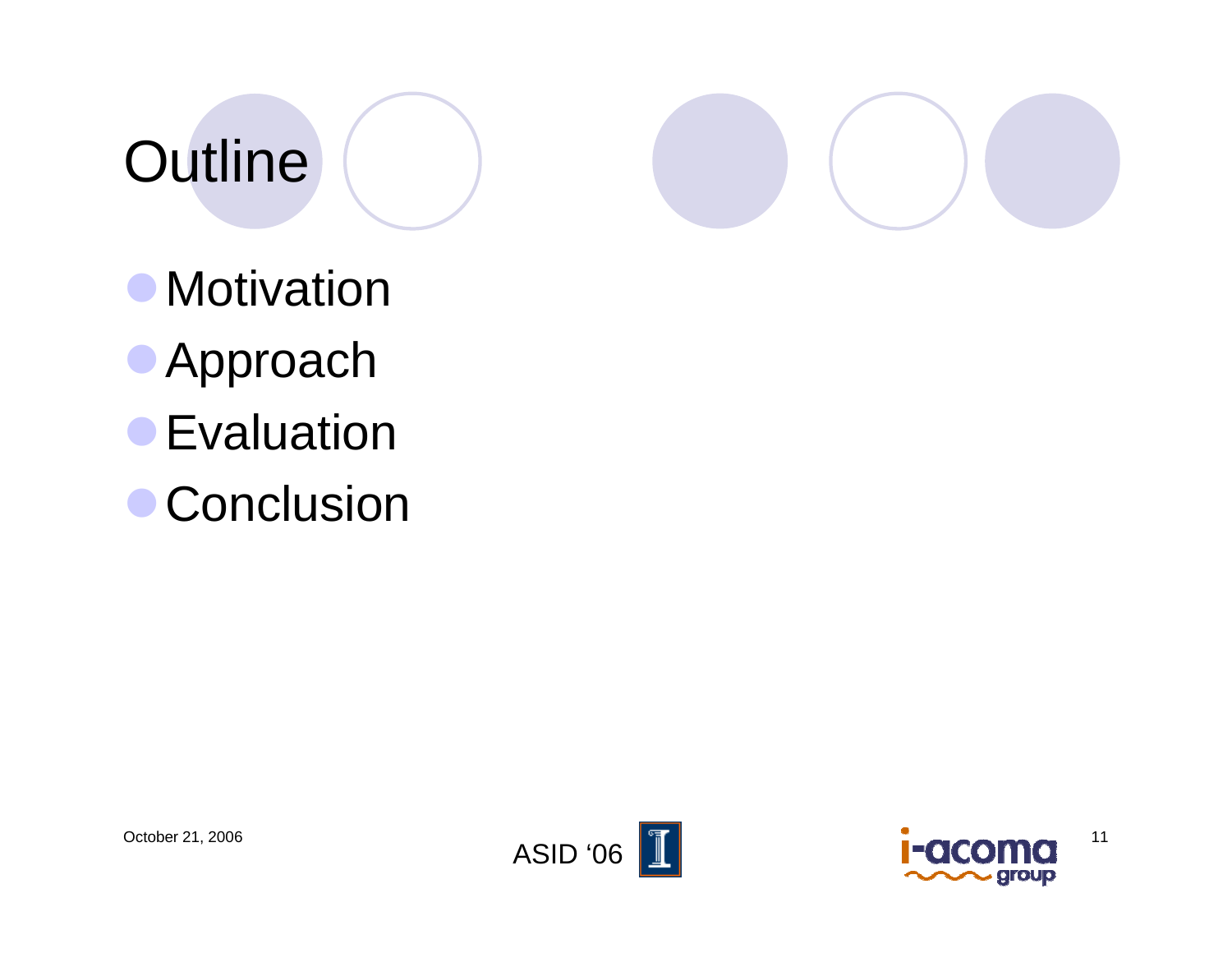## **Outline**

• Motivation

- **Approach**
- **Evaluation**
- **Conclusion**



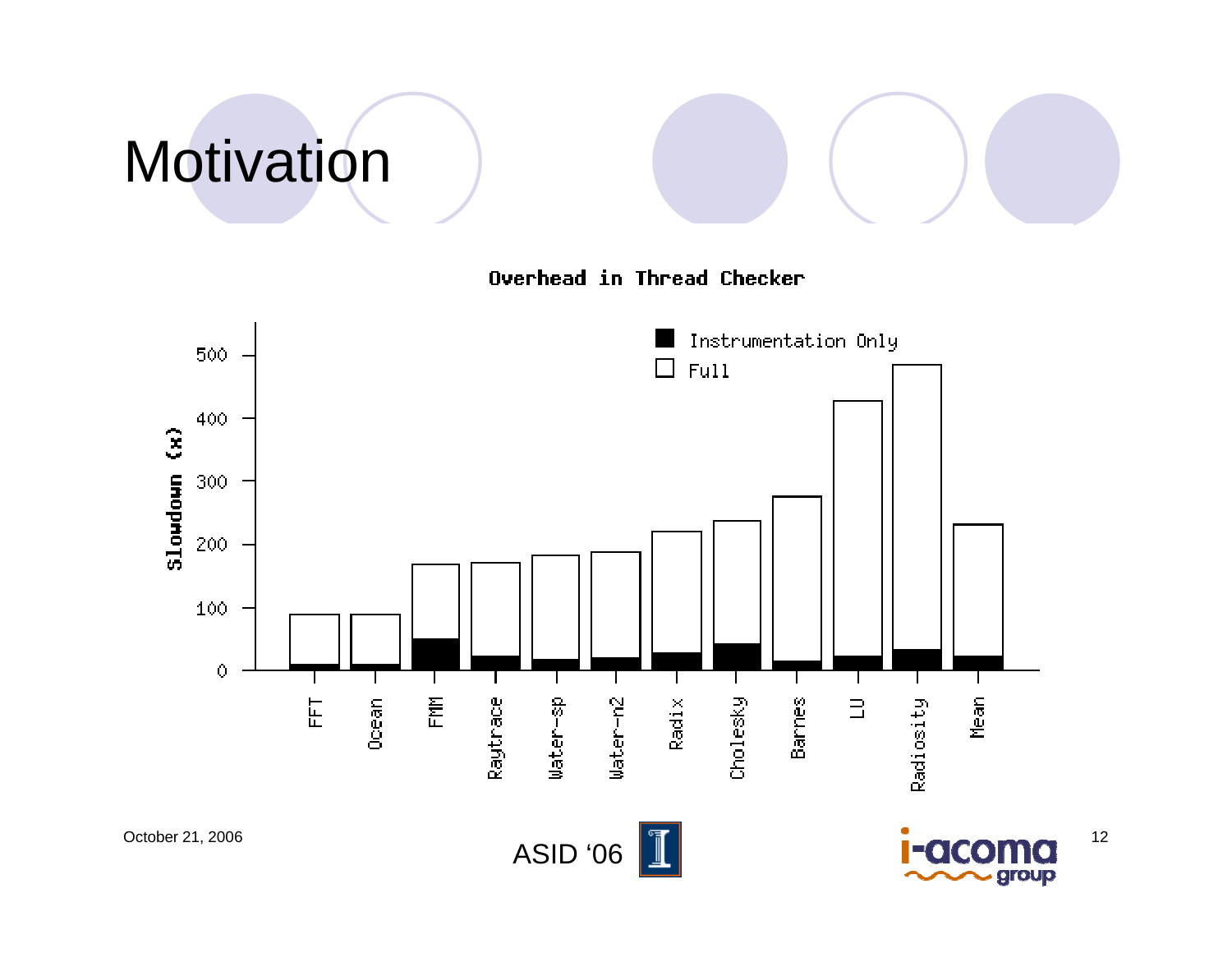## Motivation

Overhead in Thread Checker

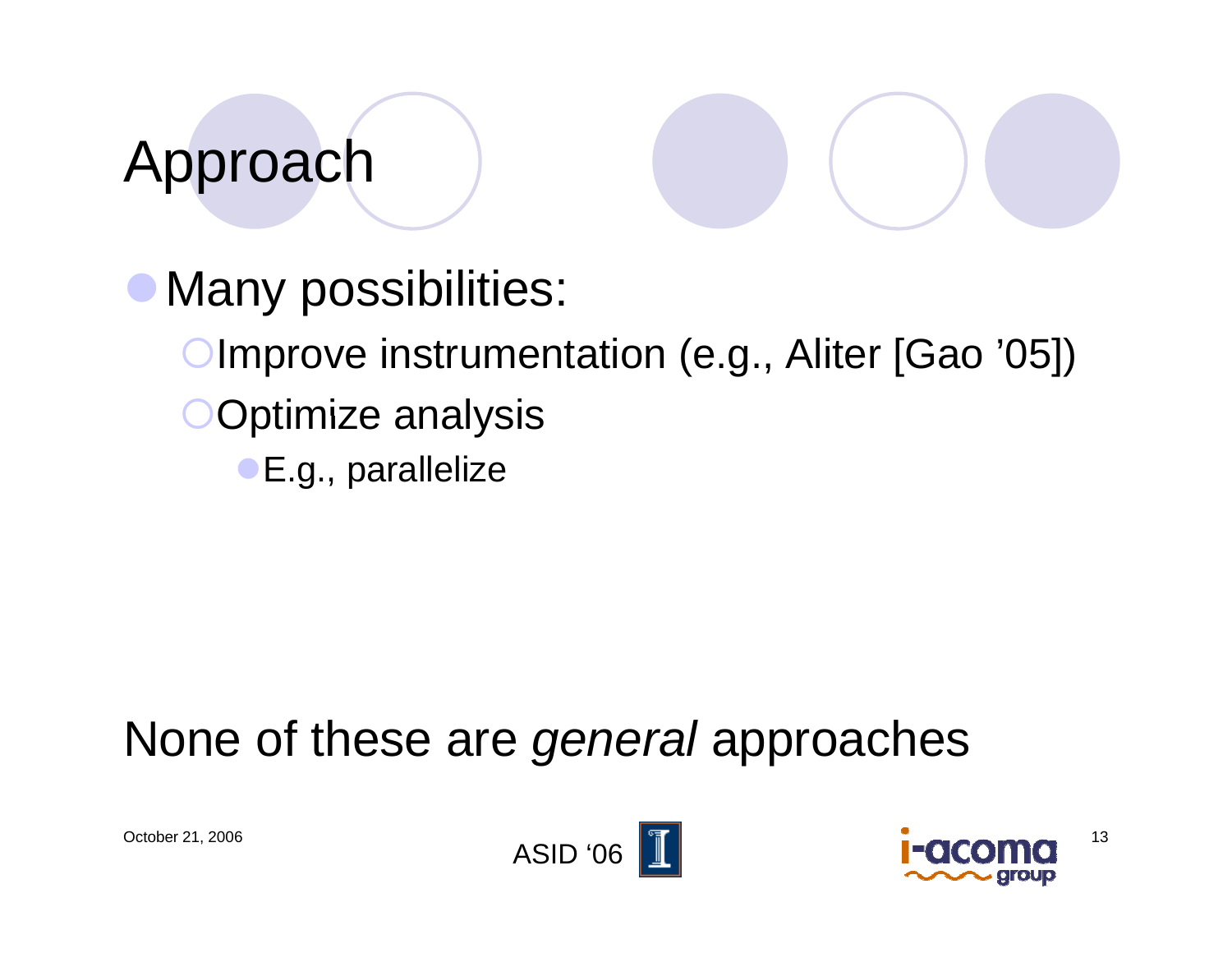## Approach

Many possibilities: Improve instrumentation (e.g., Aliter [Gao '05]) OOptimize analysis **E.g., parallelize** 

#### None of these are *general* approaches



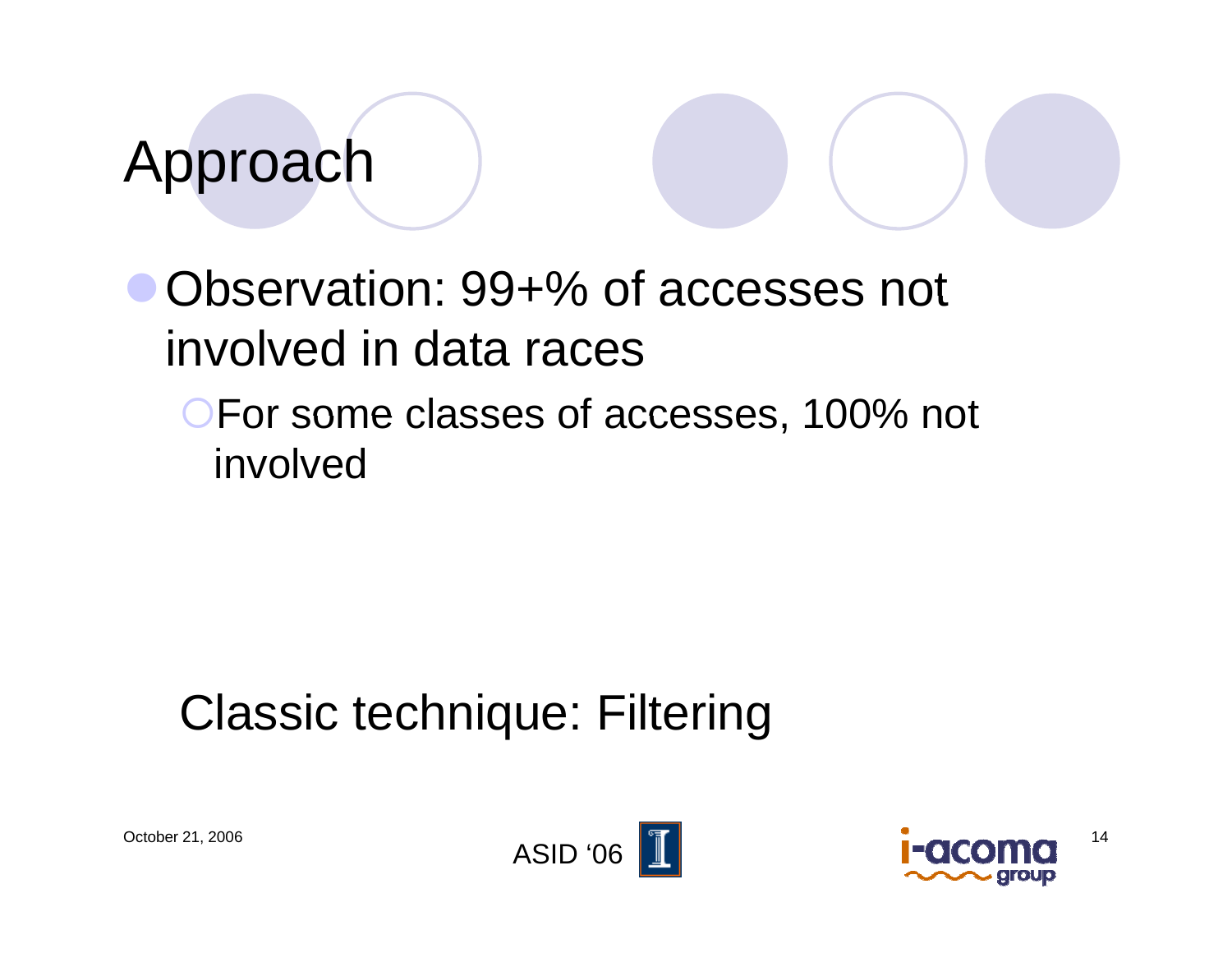#### Approach

• Observation: 99+% of accesses not involved in data races

**OFor some classes of accesses, 100% not** involved

#### Classic technique: Filtering



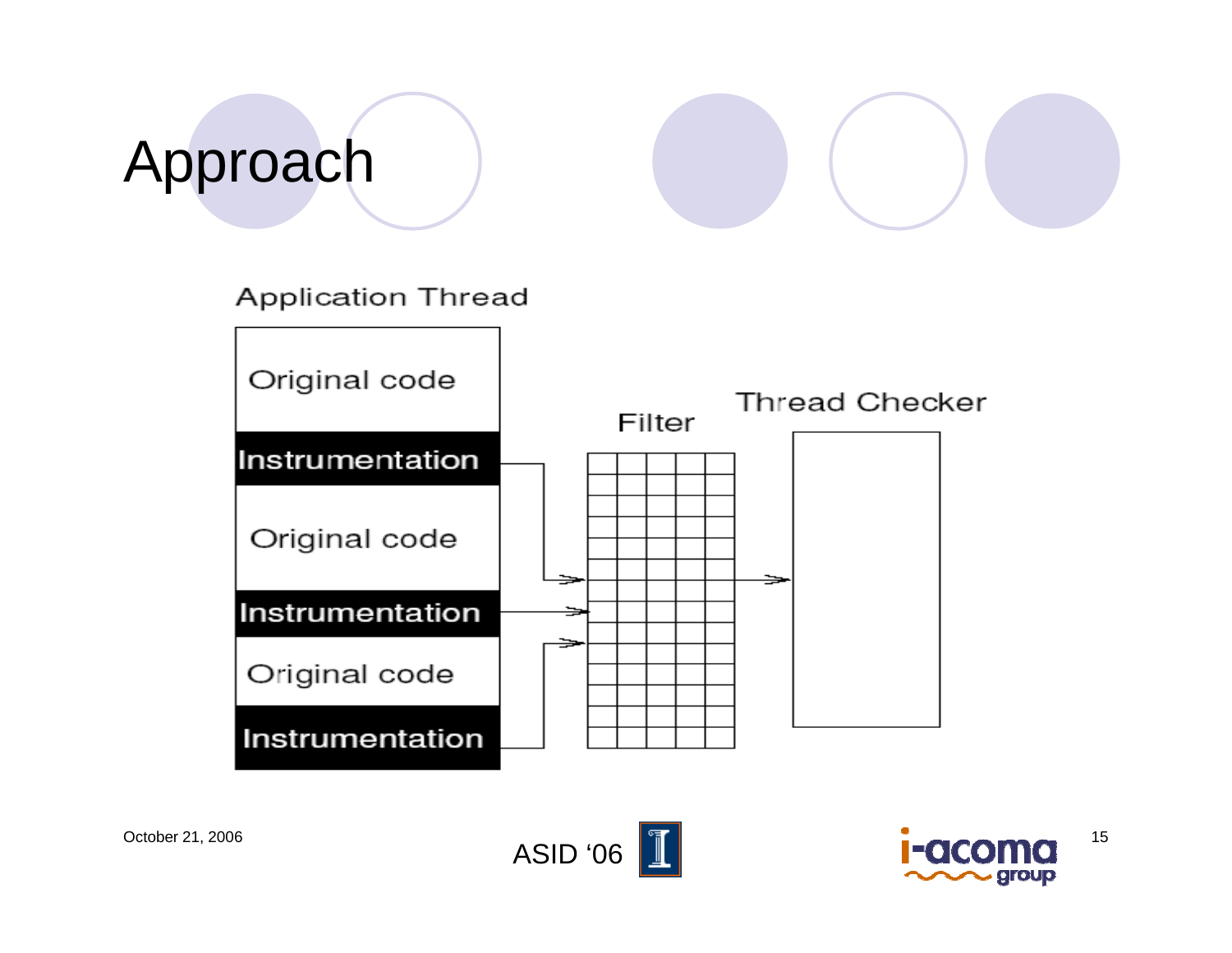# Approach







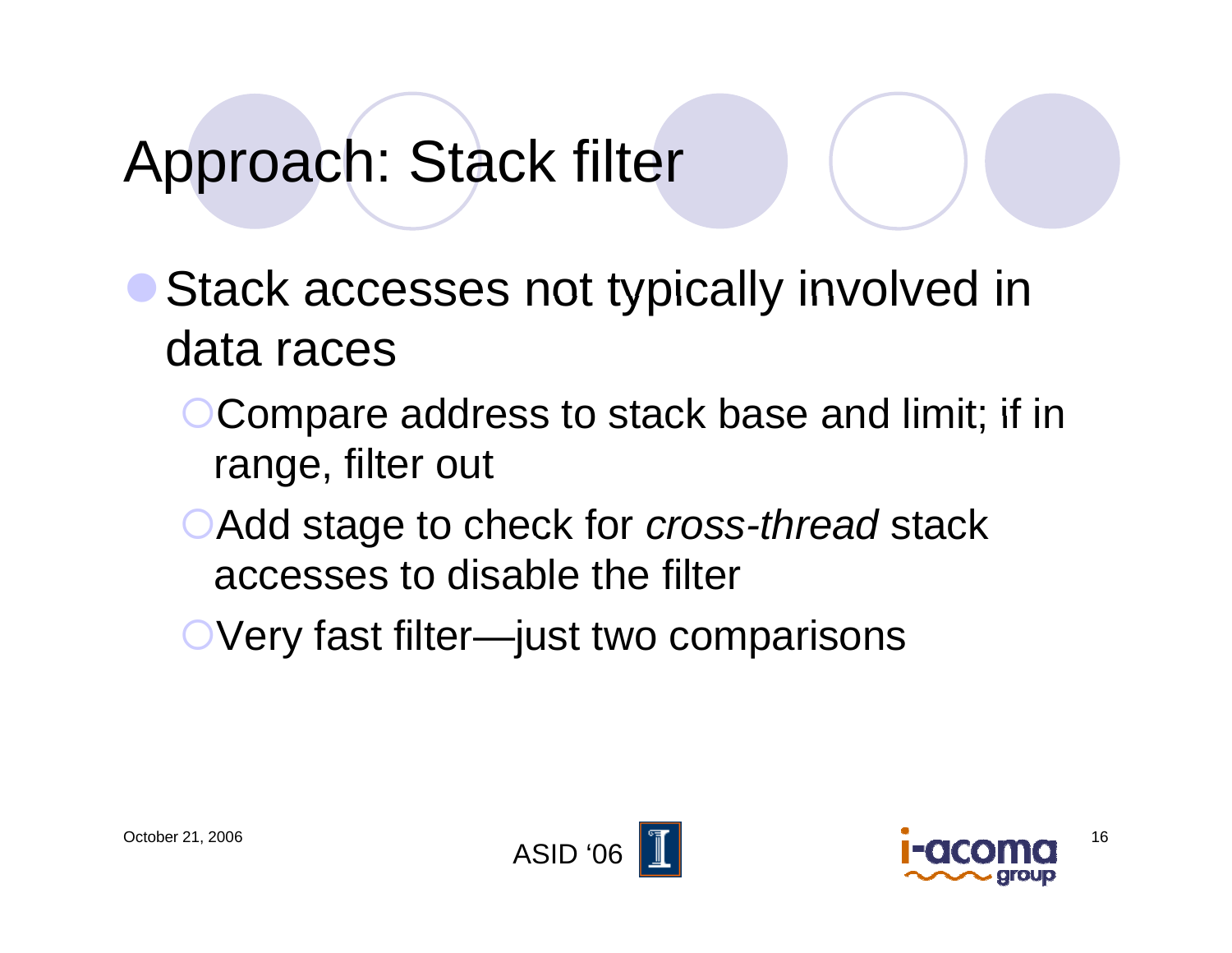#### Approach: Stack filter

Stack accesses not typically involved in data races

- {Compare address to stack base and limit; if in range, filter out
- **Add stage to check for** *cross-thread* **stack** accesses to disable the filter
- OVery fast filter—just two comparisons



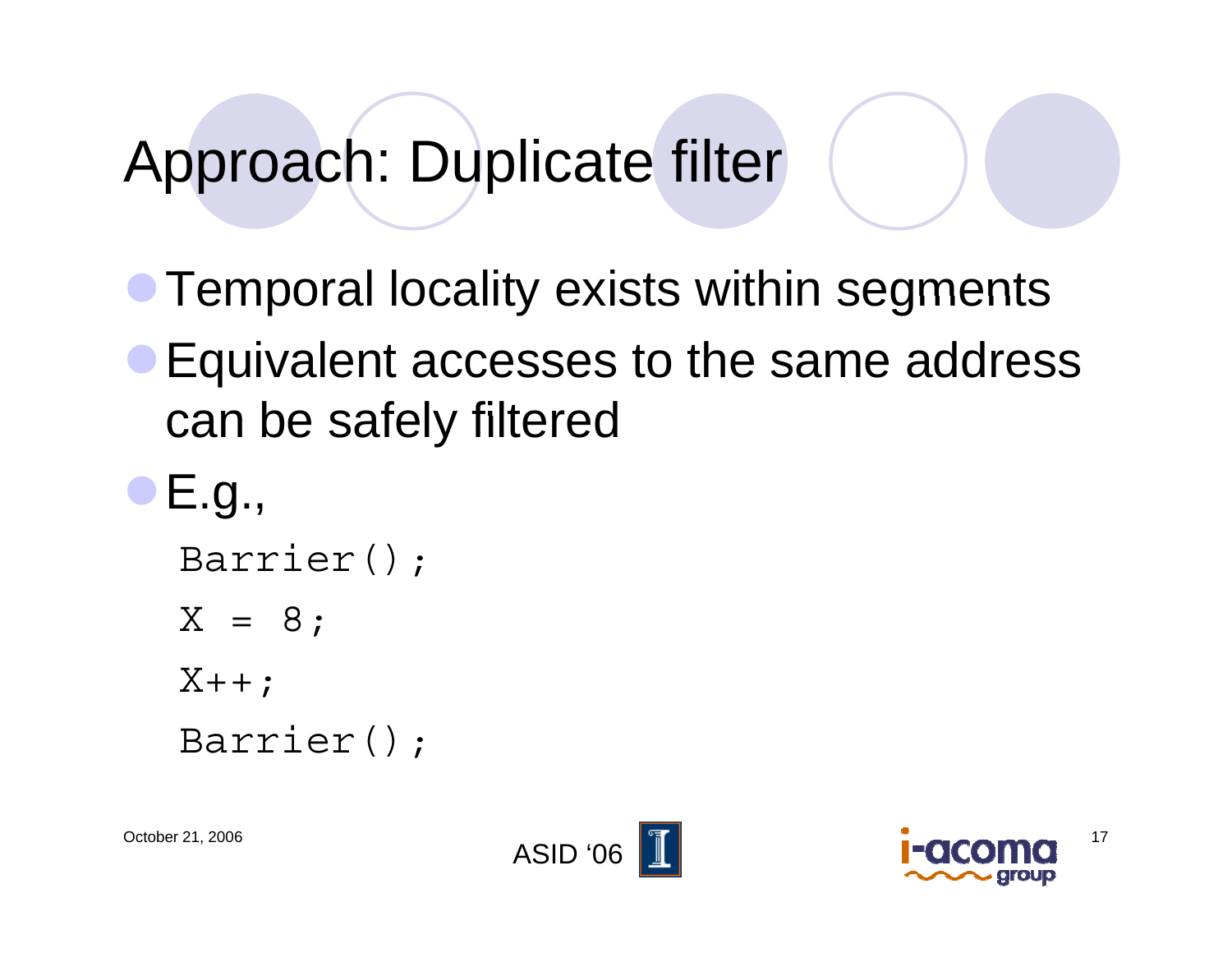#### Approach: Duplicate filter

- **Temporal locality exists within segments**
- Equivalent accesses to the same address can be safely filtered

```
\bullet E.g.,
Barrier();
X = 8;X++;Barrier();
```


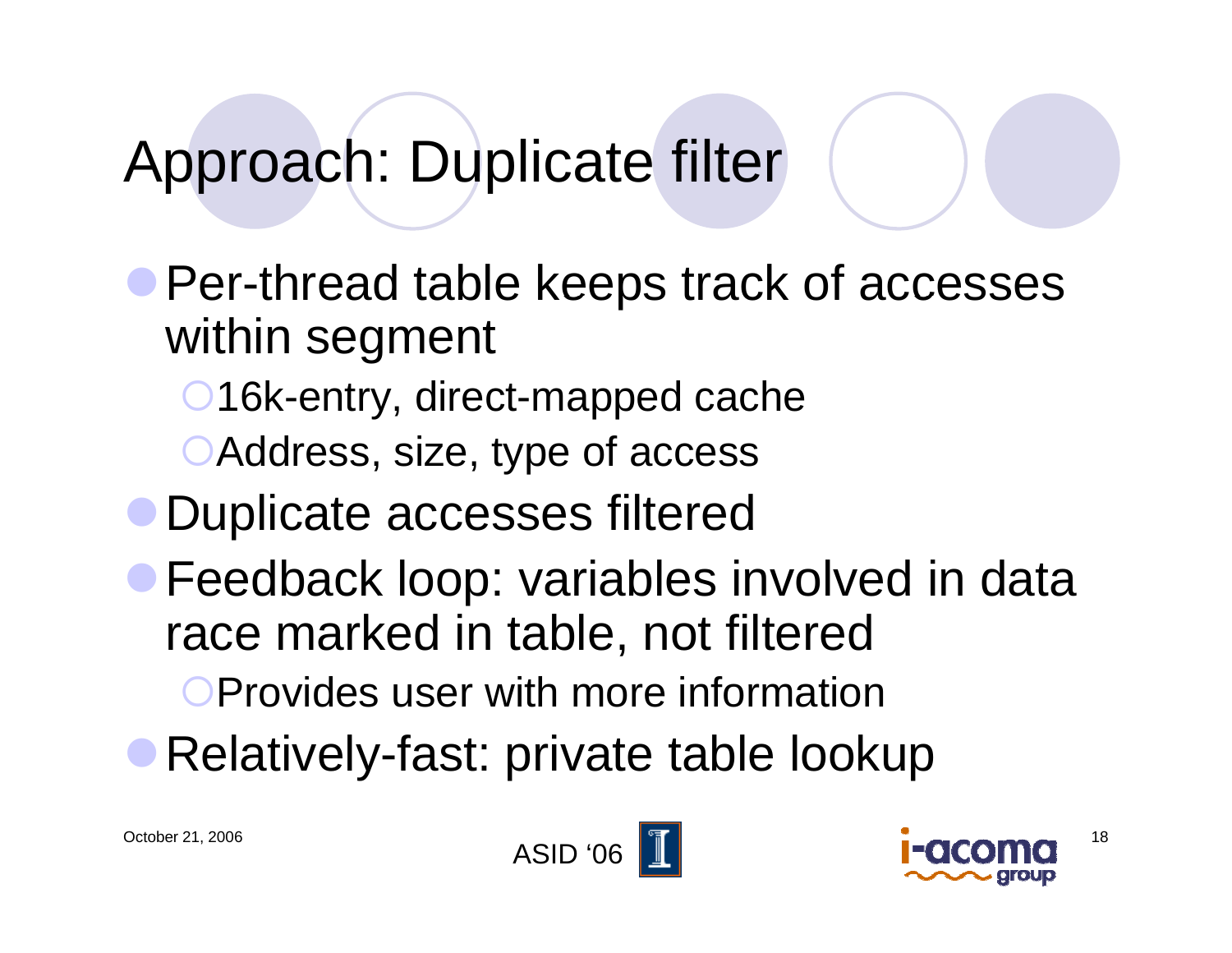#### Approach: Duplicate filter

• Per-thread table keeps track of accesses within segment

- **16k-entry, direct-mapped cache**
- Address, size, type of access
- **Duplicate accesses filtered**
- **Feedback loop: variables involved in data** race marked in table, not filtered

**Set Provides user with more information** 

• Relatively-fast: private table lookup



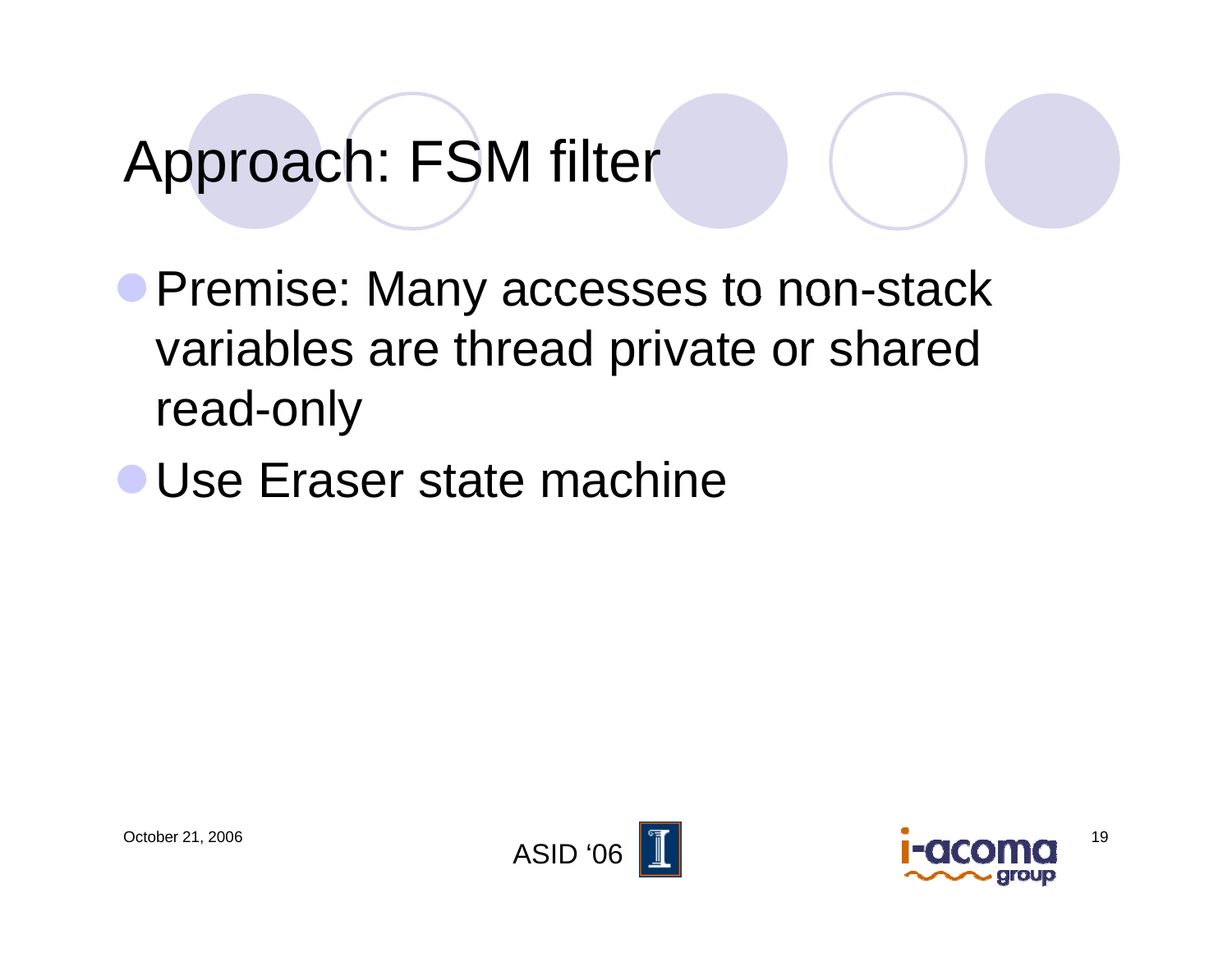#### Approach: FSM filter

**• Premise: Many accesses to non-stack** variables are thread private or shared read -only

**• Use Eraser state machine** 



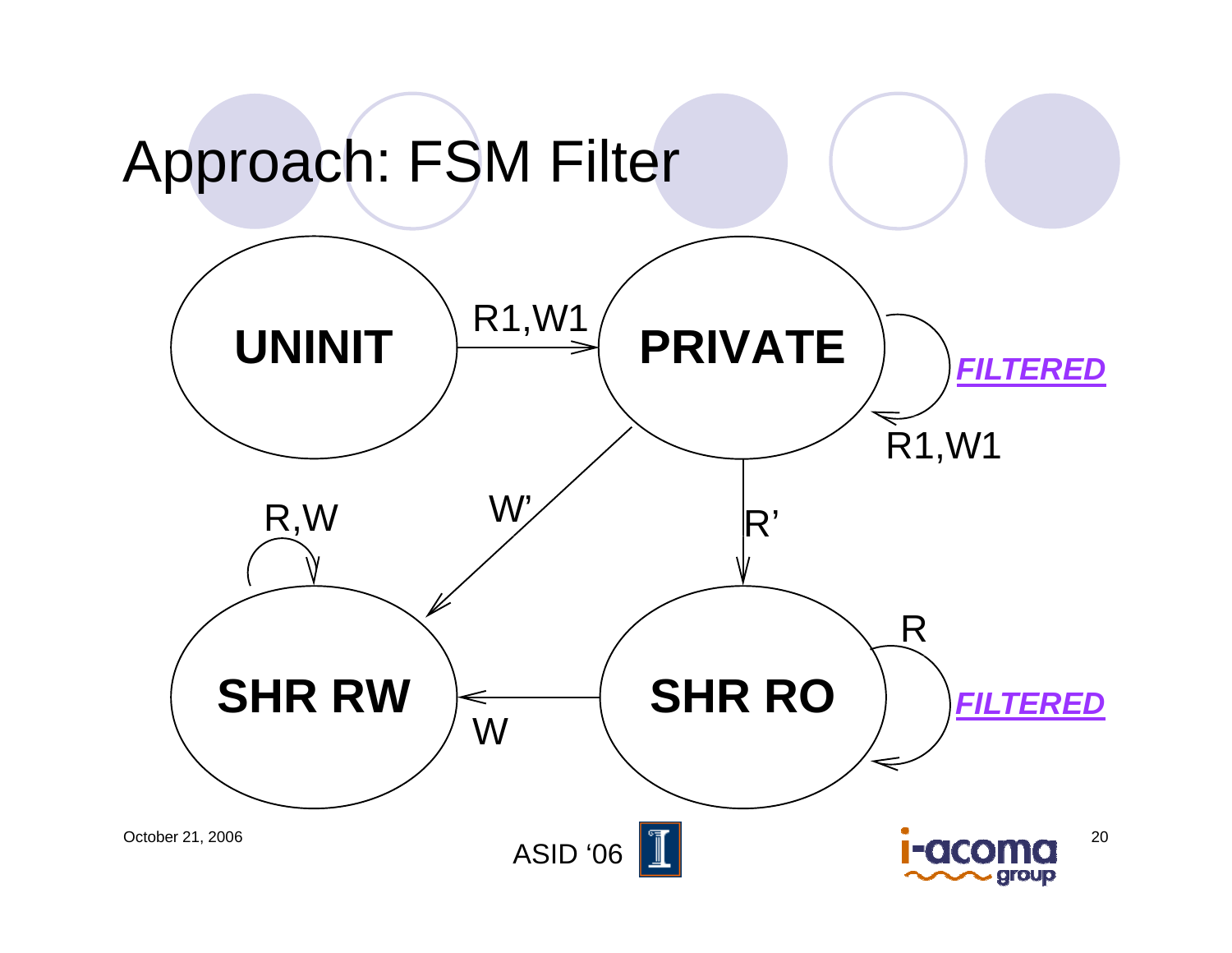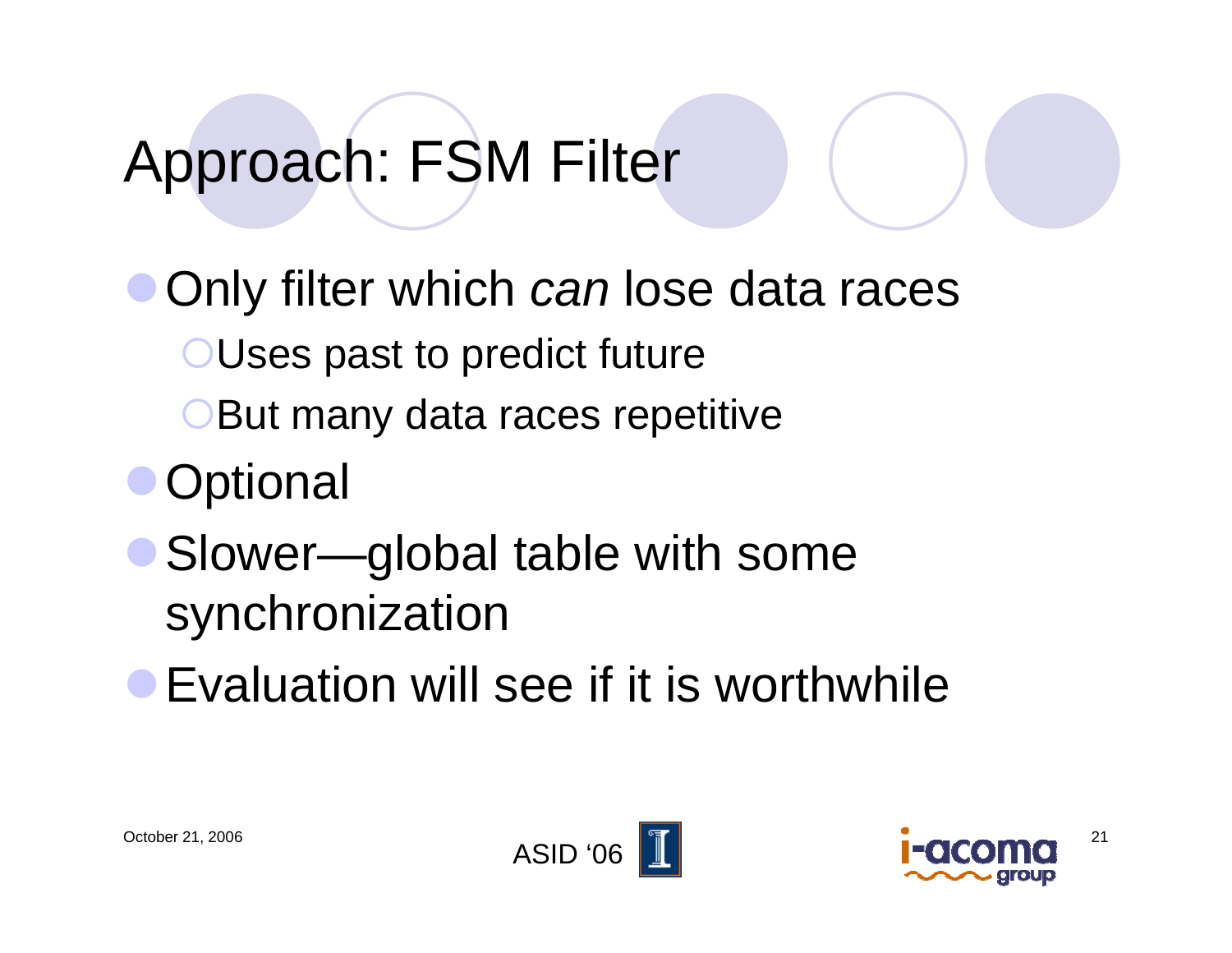### Approach: FSM Filter

Only filter which can lose data races **OUses past to predict future** But many data races repetitive **Optional** • Slower—global table with some

- synchronization
- **Evaluation will see if it is worthwhile**



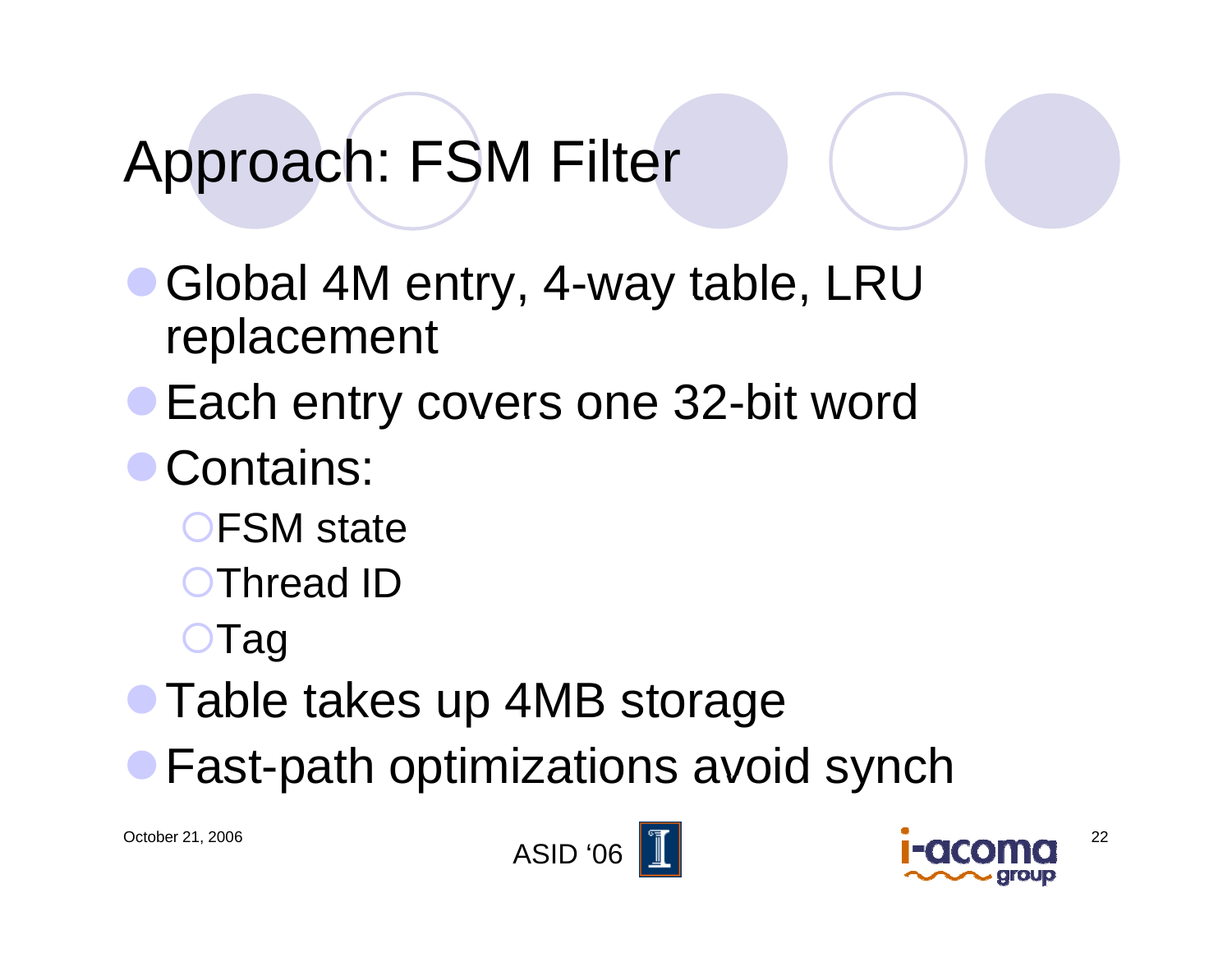## Approach: FSM Filter

- Global 4M entry, 4-way table, LRU replacement
- **Each entry covers one 32-bit word**
- Contains:
	- $\bigcirc$ FSM state
	- **OThread ID**
	- ${\color{red}\mathsf{CTag}}$
- Table takes up 4MB storage
- $\bullet$  Fast-path optimizations avoid synch



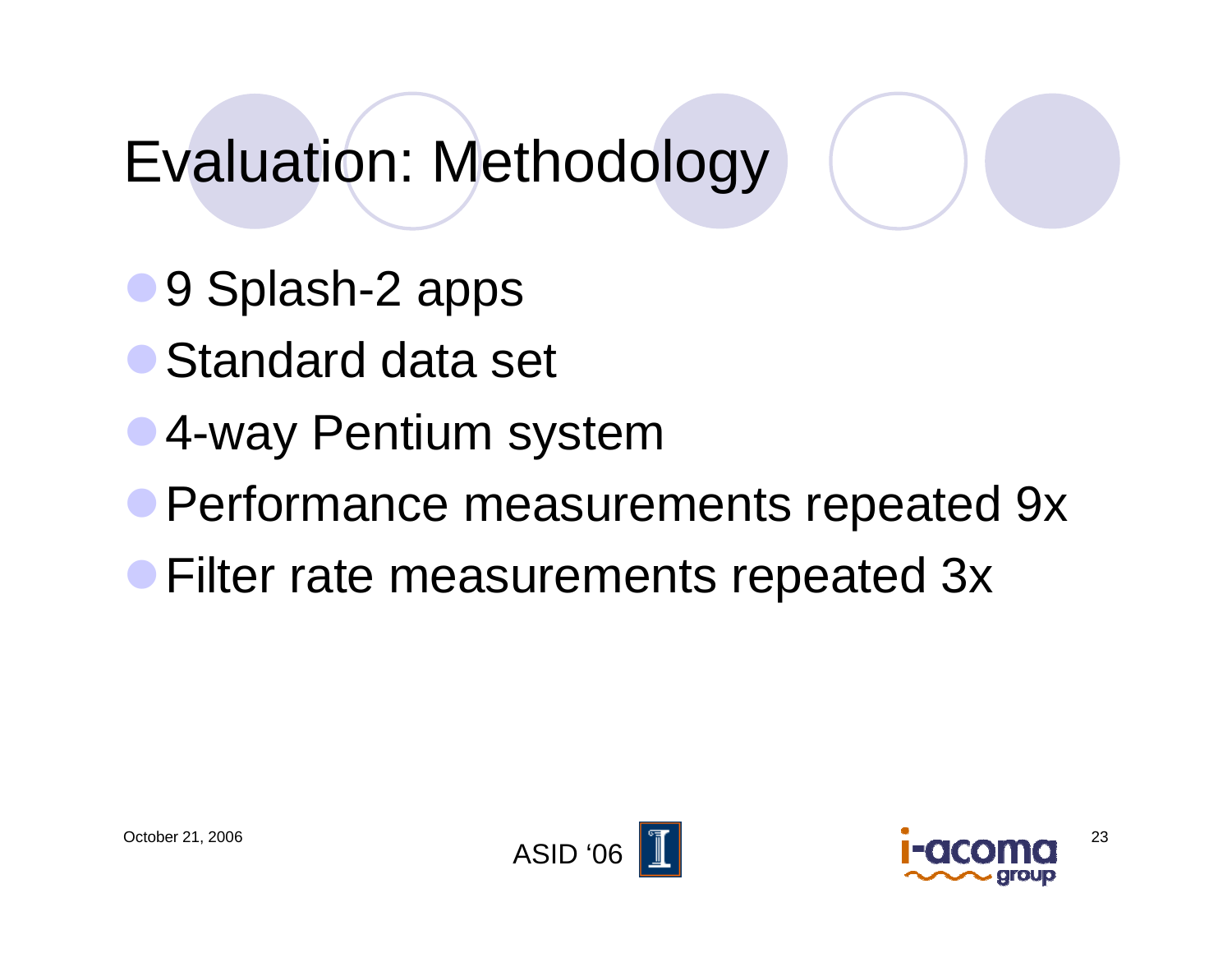## Evaluation: Methodology

- 9 Splash-2 apps
- Standard data set
- 4-way Pentium system
- **Performance measurements repeated 9x**
- **Filter rate measurements repeated 3x**



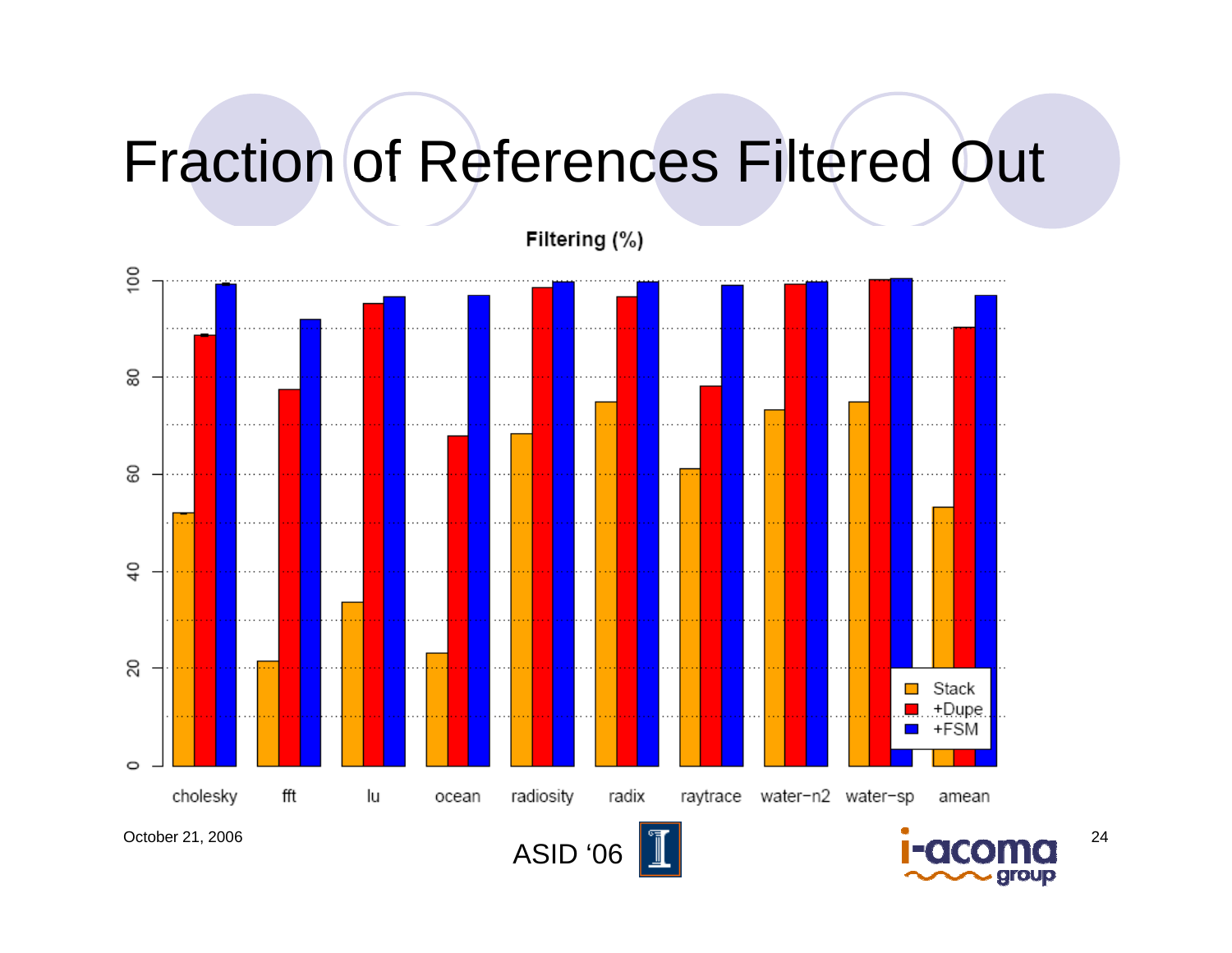## Fraction of References Filtered Out

Filtering (%)

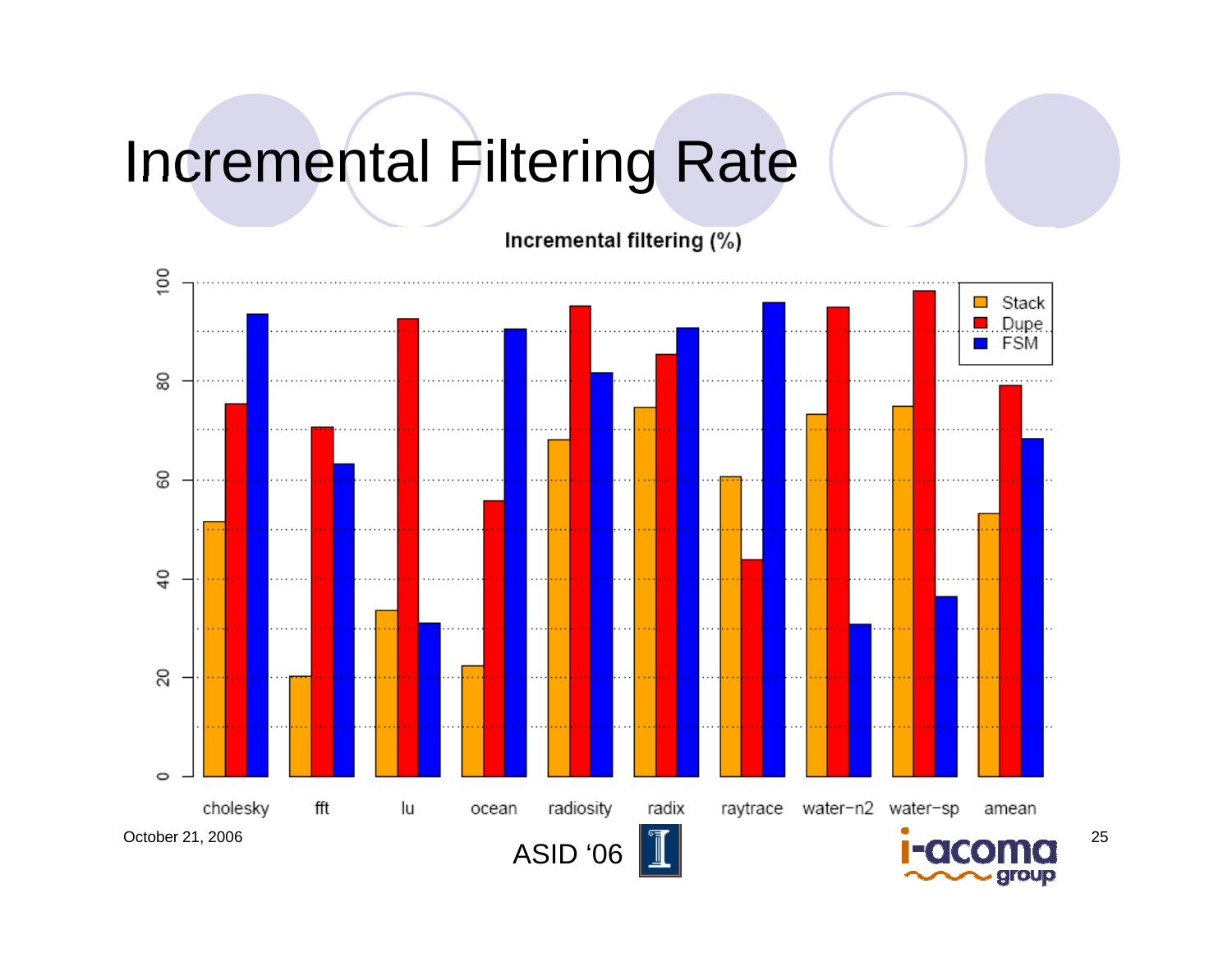#### Incremental Filtering Rate

Incremental filtering (%)

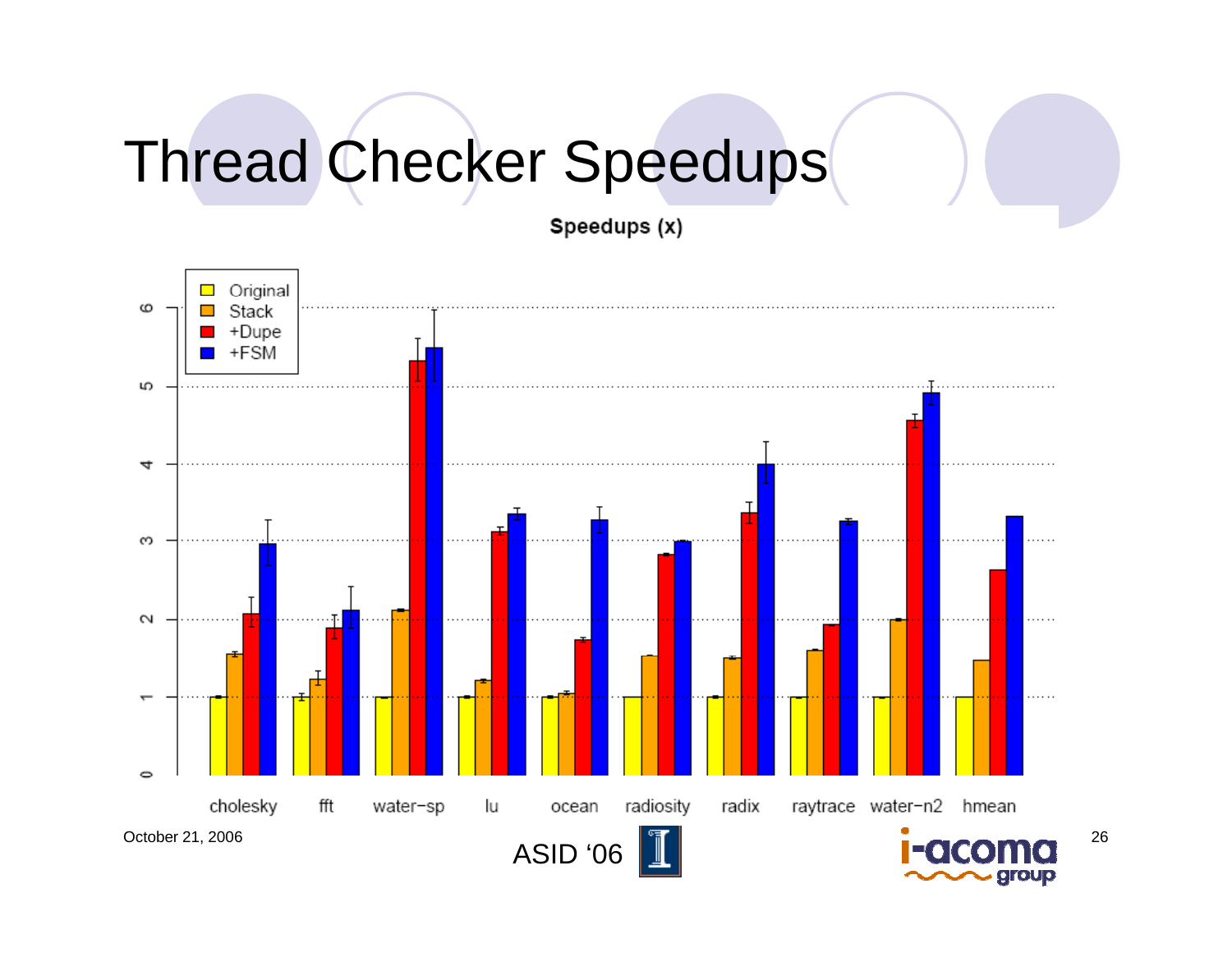# Thread Checker Speedups

Speedups (x)

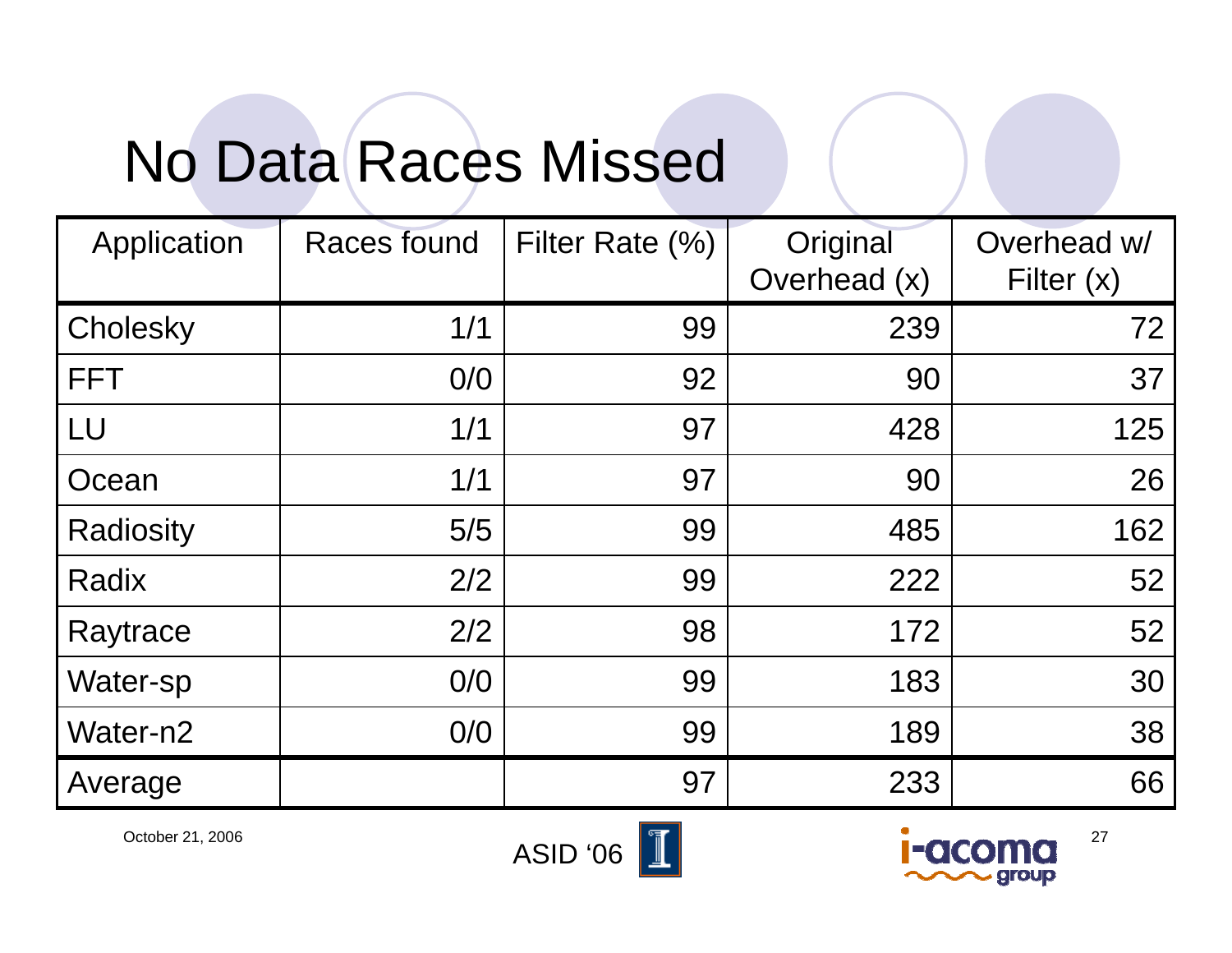### No Data Races Missed

| Application      | <b>Races found</b> | Filter Rate (%) | Original<br>Overhead (x) | Overhead w/<br>Filter $(x)$ |
|------------------|--------------------|-----------------|--------------------------|-----------------------------|
| Cholesky         | 1/1                | 99              | 239                      | 72                          |
| <b>FFT</b>       | 0/0                | 92              | 90                       | 37                          |
| LU               | 1/1                | 97              | 428                      | 125                         |
| Ocean            | 1/1                | 97              | 90                       | 26                          |
| <b>Radiosity</b> | 5/5                | 99              | 485                      | 162                         |
| Radix            | 2/2                | 99              | 222                      | 52                          |
| Raytrace         | 2/2                | 98              | 172                      | 52                          |
| Water-sp         | O/O                | 99              | 183                      | 30                          |
| Water-n2         | O/O                | 99              | 189                      | 38                          |
| Average          |                    | 97              | 233                      | 66                          |



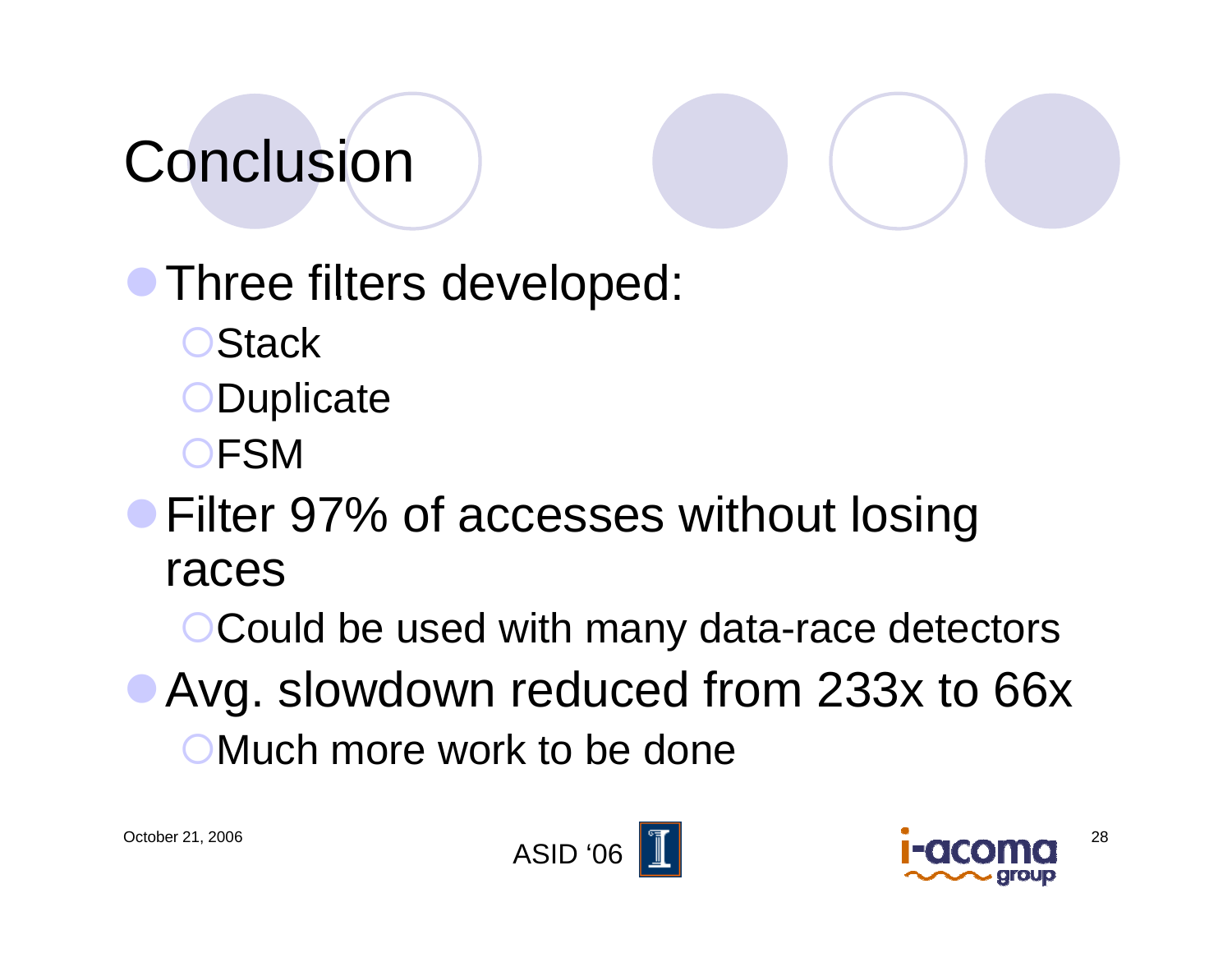### **Conclusion**

**• Three filters developed: OStack** 

- **ODuplicate**
- {FSM
- Filter 97% of accesses without losing races

**OCould be used with many data-race detectors** 

• Avg. slowdown reduced from 233x to 66x {Much more work to be done